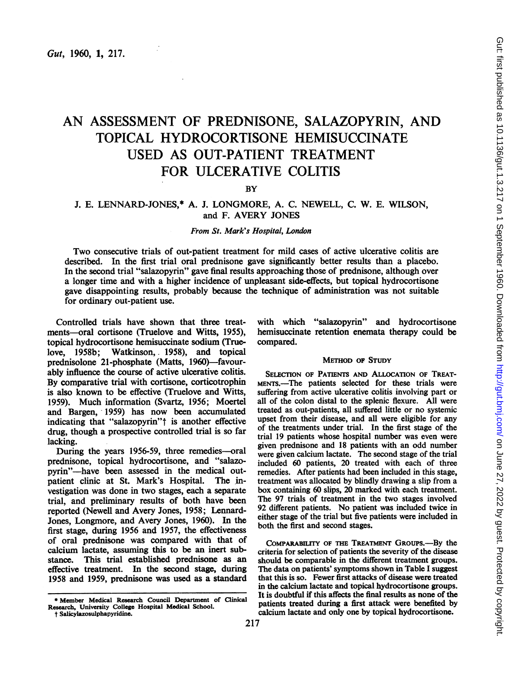# AN ASSESSMENT OF PREDNISONE, SALAZOPYRIN, AND TOPICAL HYDROCORTISONE HEMISUCCINATE USED AS OUT-PATIENT TREATMENT FOR ULCERATIVE COLITIS

**BY** 

# J. E. LENNARD-JONES,\* A. J. LONGMORE, A. C. NEWELL, C. W. E. WILSON, and F. AVERY JONES

#### From St. Mark's Hospital, London

Two consecutive trials of out-patient treatment for mild cases of active ulcerative colitis are described. In the first trial oral prednisone gave significantly better results than a placebo. In the second trial "salazopyrin" gave final results approaching those of prednisone, although over a longer time and with a higher incidence of unpleasant side-effects, but topical hydrocortisone gave disappointing results, probably because the technique of administration was not suitable for ordinary out-patient use.

Controlled trials have shown that three treatments—oral cortisone (Truelove and Witts, 1955), topical hydrocortisone hemisuccinate sodium (Truelove, 1958b; Watkinson, 1958), and topical prednisolone 21-phosphate (Matts, 1960)-favourably influence the course of active ulcerative colitis. By comparative trial with cortisone, corticotrophin is also known to be effective (Truelove and Witts, 1959). Much information (Svartz, 1956; Moertel and Bargen, -1959) has now been accumulated indicating that "salazopyrin"<sup>†</sup> is another effective drug, though a prospective controlled trial is so far lacking.

During the years 1956-59, three remedies—oral prednisone, topical hydrocortisone, and "salazopyrin"-have been assessed in the medical outpatient clinic at St. Mark's Hospital. The investigation was done in two stages, each a separate trial, and preliminary results of both have been reported (Newell and Avery Jones, 1958; Lennard-Jones, Longmore, and Avery Jones, 1960). In the first stage, during 1956 and 1957, the effectiveness of oral prednisone was compared with that of calcium lactate, assuming this to be an inert substance. This trial established prednisone as an effective treatment. In the second stage, during 1958 and 1959, prednisone was used as a standard

with which "salazopyrin" and hydrocortisone hemisuccinate retention enemata therapy could be compared.

#### METHOD OF STUDY

SELECTION OF PATIENTS AND ALLOCATION OF TREAT-MENTs.-The patients selected for these trials were suffering from active ulcerative colitis involving part or all of the colon distal to the splenic flexure. All were treated as out-patients, all suffered little or no systemic upset from their disease, and all were eligible for any of the treatments under trial. In the first stage of the trial 19 patients whose hospital number was even were given prednisone and 18 patients with an odd number were given calcium lactate. The second stage of the trial included 60 patients, 20 treated with each of three remedies. After patients had been included in this stage, treatment was allocated by blindly drawing a slip from a box containing 60 slips, 20 marked with each treatment. The 97 trials of treatment in the two stages involved 92 different patients. No patient was included twice in either stage of the trial but five patients were included in both the first and second stages.

COMPARABILTy OF THE TREATMENT GROuPs.-By the criteria for selection of patients the severity of the disease should be comparable in the different treatment groups. The data on patients' symptoms shown in Table <sup>I</sup> suggest that this is so. Fewer first attacks of disease were treated in the calcium lactate and topical hydrocortisone groups. It is doubtful if this affects the final results as none of the patients treated during a first attack were benefited by calcium lactate and only one by topical hydrocortisone.

<sup>\*</sup> Member Medical Research Council Department of Clinical Research, University College Hospital Medical School.

t Salicylazosulphapyridine.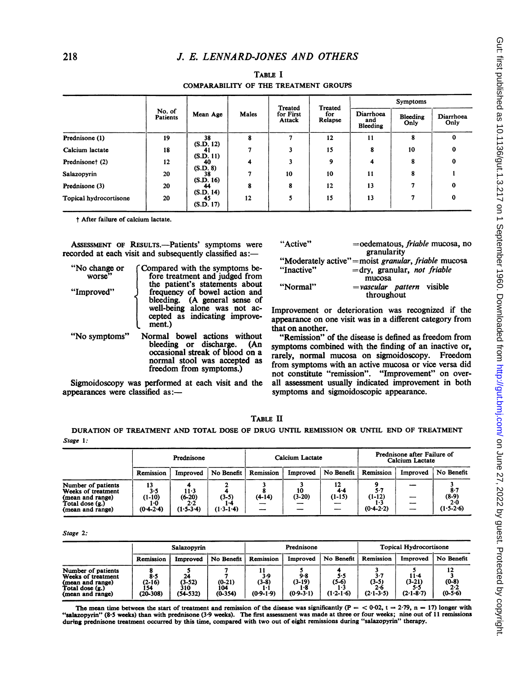TABLE <sup>I</sup>

| <b>COMPARABILITY OF THE TREATMENT GROUPS</b> |                           |                              |       |                                |                           |                              |                  |                   |  |  |  |
|----------------------------------------------|---------------------------|------------------------------|-------|--------------------------------|---------------------------|------------------------------|------------------|-------------------|--|--|--|
|                                              | No. of<br><b>Patients</b> | Mean Age                     | Males | Treated<br>for First<br>Attack | Treated<br>for<br>Relapse | <b>Symptoms</b>              |                  |                   |  |  |  |
|                                              |                           |                              |       |                                |                           | Diarrhoea<br>and<br>Bleeding | Bleeding<br>Only | Diarrhoea<br>Only |  |  |  |
| Prednisone (1)                               | 19                        | 38                           | 8     |                                | 12                        | 11                           | 8                | $\bf{0}$          |  |  |  |
| Calcium lactate                              | 18                        | (S.D. 12)<br>41<br>(S.D. 11) |       | 3                              | 15                        | 8                            | 10               | 0                 |  |  |  |
| Prednisonet (2)                              | 12                        | 40<br>(S.D. 8)               | 4     |                                | 9                         | 4                            | 8                | 0                 |  |  |  |
| Salazopyrin                                  | 20                        | 38<br>(S.D. 16)              |       | 10                             | 10                        | 11                           | 8                |                   |  |  |  |
| Prednisone (3)                               | 20                        | 44<br>(S.D. 14)              | 8     | 8                              | 12                        | 13                           |                  | 0                 |  |  |  |
| Topical hydrocortisone                       | 20                        | 45<br>(S.D. 17)              | 12    | 5                              | 15                        | 13                           |                  | 0                 |  |  |  |

t After failure of calcium lactate.

ASSESSMENT OF RESULTS.--Patients' symptoms were recorded at each visit and subsequently classified as:-

| "No change or | Compared with the symptoms be-                                                                                                                                              |
|---------------|-----------------------------------------------------------------------------------------------------------------------------------------------------------------------------|
| worse"        | fore treatment and judged from                                                                                                                                              |
| "Improved"    | the patient's statements about<br>frequency of bowel action and<br>bleeding. (A general sense of<br>well-being alone was not ac-<br>cepted as indicating improve-<br>ment.) |
| "No symptoms" | Normal bowel actions without<br>bleeding or discharge.<br>(An<br>occasional streak of blood on a<br>normal stool was accepted as<br>freedom from symptoms.)                 |

Sigmoidoscopy was performed at each visit and the appearances were classified as:-

| "Active"   | =oedematous, <i>friable</i> mucosa, no<br>granularity |
|------------|-------------------------------------------------------|
|            | "Moderately active" = moist granular, friable mucosa  |
| "Inactive" | $=$ dry, granular, not friable<br>mucosa              |
| "Normal"   | $=$ vascular pattern visible<br>throughout            |

Improvement or deterioration was recognized if the appearance on one visit was in a different category from that on another.

"Remission" of the disease is defined as freedom from symptoms combined with the finding of an inactive or, rarely, normal mucosa on sigmoidoscopy. Freedom from symptoms with an active mucosa or vice versa did not constitute "remission". "Improvement" on overall assessment usually indicated improvement in both symptoms and sigmoidoscopic appearance.

TABLE II

DURATION OF TREATMENT AND TOTAL DOSE OF DRUG UNTIL REMISSION OR UNTIL END OF TREATMENT Stage 1:

|                                                                                                     | Prednisone                                  |                                            |                               |           | Calcium Lactate |                             | Prednisone after Failure of<br><b>Calcium Lactate</b> |          |                                       |
|-----------------------------------------------------------------------------------------------------|---------------------------------------------|--------------------------------------------|-------------------------------|-----------|-----------------|-----------------------------|-------------------------------------------------------|----------|---------------------------------------|
|                                                                                                     | Remission                                   | Improved                                   | No Benefit                    | Remission | Improved        | No Benefit                  | Remission                                             | Improved | No Benefit                            |
| Number of patients<br>Weeks of treatment<br>(mean and range)<br>Total dose (g.)<br>(mean and range) | 13<br>3.5<br>$(1-10)$<br>1.0<br>$(0.4-2.4)$ | $11 - 3$<br>$(6-20)$<br>2.2<br>$(1.5-3.4)$ | $(3-5)$<br>1.4<br>$(1.3-1.4)$ | $(4-14)$  | 10<br>$(3-20)$  | 12<br>4.4<br>$(1-15)$<br>-- | $5 - 7$<br>$(1-12)$<br>$(0.4-2.2)$                    | -        | $8-7$<br>$(8-9)$<br>20<br>$(1.5-2.6)$ |

Stage 2:

|                                                                                                     | Salazopyrin                       |                                   |                              |                                       | Prednisone                       |                                 | Topical Hydrocortisone                   |                                       |                                   |
|-----------------------------------------------------------------------------------------------------|-----------------------------------|-----------------------------------|------------------------------|---------------------------------------|----------------------------------|---------------------------------|------------------------------------------|---------------------------------------|-----------------------------------|
|                                                                                                     | Remission                         | Improved                          | No Benefit                   | <b>Remission</b>                      | Improved                         | No Benefit                      | Remission                                | Improved                              | No Benefit                        |
| Number of patients<br>Weeks of treatment<br>(mean and range)<br>Total dose (g.)<br>(mean and range) | $8-5$<br>(2-16)<br>54<br>(20-308) | 24<br>$(3-52)$<br>310<br>(54-532) | $(0-21)$<br>104<br>$(0-354)$ | 11<br>3.9<br>$(3-8)$<br>$(0.9 - 1.9)$ | 9.8<br>$(3-19)$<br>$(0.9 - 3.1)$ | 5.5<br>$(5-6)$<br>$(1.2 - 1.6)$ | 3.7<br>$(3-5)$<br>$2-6$<br>$(2.1 - 3.5)$ | $11 - 4$<br>$(3-21)$<br>$(2.1 - 8.7)$ | 12<br>$(0-8)$<br>2.2<br>$(0-5.6)$ |

The mean time between the start of treatment and remission of the disease was significantly (P =  $0.02$ , t =  $2.79$ , n = 17) longer with "salazopyrin" (8-5 weeks) than with prednisone (3.9 weeks). The first assessment was made at three or four weeks; nine out of <sup>11</sup> remissions during prednisone treatment occurred by this time, compared with two out of eight remissions during "salazopyrin" therapy.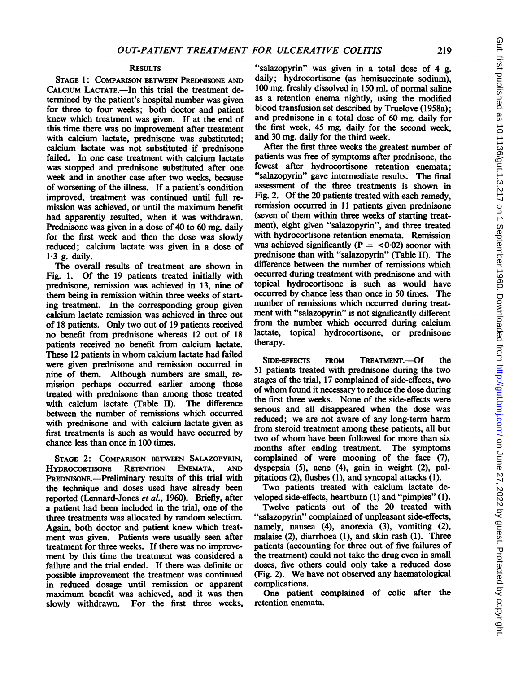#### **RESULTS**

STAGE 1: COMPARISON BETWEEN PREDNISONE AND CALCIUM LACTATE.-In this trial the treatment determined by the patient's hospital number was given for three to four weeks; both doctor and patient knew which treatment was given. If at the end of this time there was no improvement after treatment with calcium lactate, prednisone was substituted; calcium lactate was not substituted if prednisone failed. In one case treatment with calcium lactate was stopped and prednisone substituted after one week and in another case after two weeks, because of worsening of the illness. If a patient's condition improved, treatment was continued until full remission was achieved, or until the maximum benefit had apparently resulted, when it was withdrawn. Prednisone was given in a dose of 40 to 60 mg. daily for the first week and then the dose was slowly reduced; calcium lactate was given in a dose of  $1-3$  g. daily.

The overall results of treatment are shown in Fig. 1. Of the 19 patients treated initially with prednisone, remission was achieved in 13, nine of them being in remission within three weeks of starting treatment. In the corresponding group given calcium lactate remission was achieved in three out of 18 patients. Only two out of 19 patients received no benefit from prednisone whereas 12 out of 18 patients received no benefit from calcium lactate. These <sup>12</sup> patients in whom calcium lactate had failed were given prednisone and remission occurred in nine of them. Although numbers are small, remission perhaps occurred earlier among those treated with prednisone than among those treated with calcium lactate (Table II). The difference between the number of remissions which occurred with prednisone and with calcium lactate given as first treatments is such as would have occurred by chance less than once in 100 times.

Stage 2: Comparison between Salazopyrin,<br>ydrocortisone Retention Enemata, and HYDROCORTISONE RETENTION ENEMATA, AND PREDNISONE.—Preliminary results of this trial with the technique and doses used have already been reported (Lennard-Jones et al., 1960). Briefly, after a patient had been included in the trial, one of the three treatments was allocated by random selection. Again, both doctor and patient knew which treatment was given. Patients were usually seen after treatment for three weeks. If there was no improvement by this time the treatment was considered a failure and the trial ended. If there was definite or possible improvement the treatment was continued in reduced dosage until remission or apparent maximum benefit was achieved, and it was then slowly withdrawn. For the first three weeks,

"salazopyrin" was given in a total dose of 4 g. daily; hydrocortisone (as hemisuccinate sodium), 100 mg. freshly dissolved in 150 ml. of normal saline as a retention enema nightly, using the modified blood transfusion set described by Truelove (1958a); and prednisone in a total dose of 60 mg. daily for the first week, 45 mg. daily for the second week, and 30 mg. daily for the third week.

After the first three weeks the greatest number of patients was free of symptoms after prednisone, the fewest after hydrocortisone retention enemata; "salazopyrin" gave intermediate results. The final assessment of the three treatments is shown in Fig. 2. Of the 20 patients treated with each remedy, remission occurred in 11 patients given prednisone (seven of them within three weeks of starting treatment), eight given "salazopyrin", and three treated with hydrocortisone retention enemata. Remission was achieved significantly  $(P = < 0.02)$  sooner with prednisone than with "salazopyrin" (Table II). The difference between the number of remissions which occurred during treatment with prednisone and with topical hydrocortisone is such as would have occurred by chance less than once in 50 times. The number of remissions which occurred during treatment with "salazopyrin" is not significantly different from the number which occurred during calcium lactate, topical hydrocortisone, or prednisone therapy.

SIDE-EFFECTS FROM TREATMENT. Of the 51 patients treated with prednisone during the two stages of the trial, 17 complained of side-effects, two of whom found it necessary to reduce the dose during the first three weeks. None of the side-effects were serious and all disappeared when the dose was reduced; we are not aware of any long-term harm from steroid treatment among these patients, all but two of whom have been followed for more than six months after ending treatment. The symptoms complained of were mooning of the face (7), dyspepsia (5), acne (4), gain in weight (2), palpitations (2), flushes (1), and syncopal attacks (1).

Two patients treated with calcium lactate developed side-effects, heartburn (1) and "pimples" (1).

Twelve patients out of the 20 treated with "salazopyrin" complained of unpleasant side-effects, namely, nausea (4), anorexia (3), vomiting (2), malaise (2), diarrhoea (1), and skin rash (1). Three patients (accounting for three out of five failures of the treatment) could not take the drug even in small doses, five others could only take a reduced dose (Fig. 2). We have not observed any haematological complications.

One patient complained of colic after the retention enemata.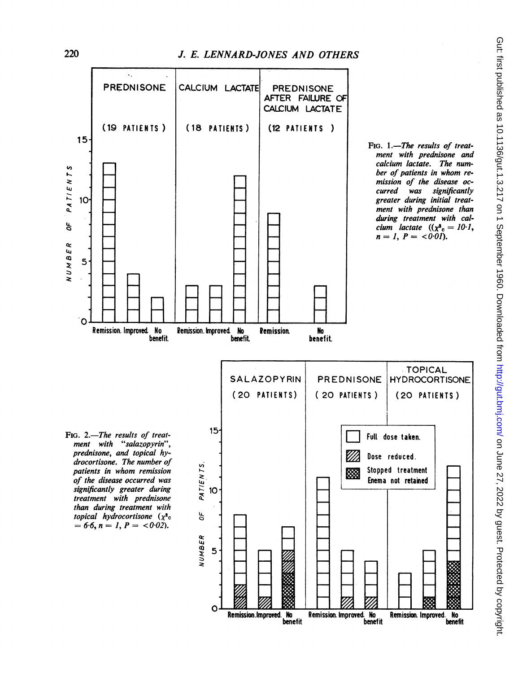

was significantly

Gut: first published as 10.1136/gut.1.3.217 on 1 September 1960. Downloaded from http://gut.bmj.com/ on June 27, 2022 by guest. Protected by copyright. on June 27, 2022 by guest. Protected by copyright. <http://gut.bmj.com/> Gut: first published as 10.1136/gut.1.3.217 on 1 September 1960. Downloaded from

220

(I)

LAJ  $\overline{\mathbf{z}}$ 

g

NUMBER

# J. E. LENNARD-JONES AND OTHERS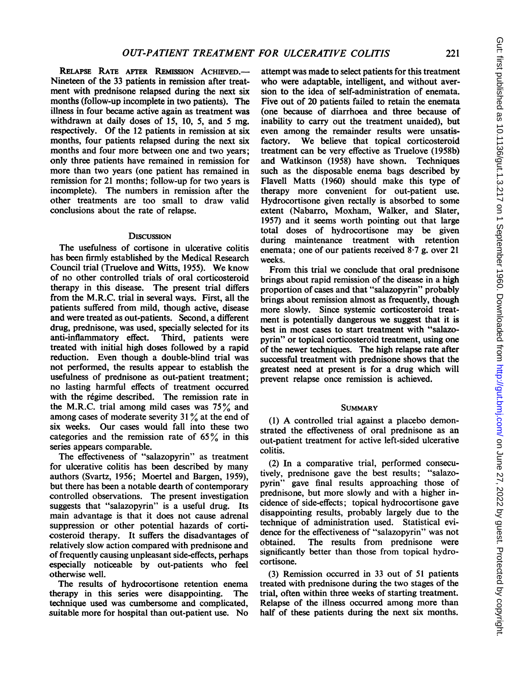RELAPSE RATE AFTER REMISION ACHIEVED. Nineteen of the 33 patients in remission after treatment with prednisone relapsed during the next six months (follow-up incomplete in two patients). The illness in four became active again as treatment was withdrawn at daily doses of 15, 10, 5, and 5 mg. respectively. Of the 12 patients in remission at six months, four patients relapsed during the next six months and four more between one and two years; only three patients have remained in remission for more than two years (one patient has remained in remission for 21 months; follow-up for two years is incomplete). The numbers in remission after the other treatments are too small to draw valid conclusions about the rate of relapse.

### **DISCUSSION**

The usefulness of cortisone in ulcerative colitis has been firmly established by the Medical Research Council trial (Truelove and Witts, 1955). We know of no other controlled trials of oral corticosteroid therapy in this disease. The present trial differs from the M.R.C. trial in several ways. First, all the patients suffered from mild, though active, disease and were treated as out-patients. Second, a different drug, prednisone, was used, specially selected for its anti-inflammatory effect. Third, patients were treated with initial high doses followed by a rapid reduction. Even though a double-blind trial was not performed, the results appear to establish the usefulness of prednisone as out-patient treatment; no lasting harmful effects of treatment occurred with the régime described. The remission rate in the M.R.C. trial among mild cases was  $75\%$  and among cases of moderate severity  $31\%$  at the end of six weeks. Our cases would fall into these two categories and the remission rate of  $65\%$  in this series appears comparable.

The effectiveness of "salazopyrin" as treatment for ulcerative colitis has been described by many authors (Svartz, 1956; Moertel and Bargen, 1959), but there has been a notable dearth of contemporary controlled observations. The present investigation suggests that "salazopyrin" is a useful drug. Its main advantage is that it does not cause adrenal suppression or other potential hazards of corticosteroid therapy. It suffers the disadvantages of relatively slow action compared with prednisone and of frequently causing unpleasant side-effects, perhaps especially noticeable by out-patients who feel otherwise well.

The results of hydrocortisone retention enema therapy in this series were disappointing. The technique used was cumbersome and complicated, .suitable more for hospital than out-patient use. No attempt was made to select patients for this treatment who were adaptable, intelligent, and without aversion to the idea of self-administration of enemata. Five out of 20 patients failed to retain the enemata (one because of diarrhoea and three because of inability to carry out the treatment unaided), but even among the remainder results were unsatisfactory. We believe that topical corticosteroid treatment can be very effective as Truelove (1958b) and Watkinson (1958) have shown. Techniques such as the disposable enema bags described by Flavell Matts (1960) should make this type of therapy more convenient for out-patient use. Hydrocortisone given rectally is absorbed to some extent (Nabarro, Moxham, Walker, and Slater, 1957) and it seems worth pointing out that large total doses of hydrocortisone may be given during maintenance treatment with retention enemata; one of our patients received 8-7 g. over 21 weeks.

From this trial we conclude that oral prednisone brings about rapid remission of the disease in a high proportion of cases and that "salazopyrin" probably brings about remission almost as frequently, though more slowly. Since systemic corticosteroid treatment is potentially dangerous we suggest that it is best in most cases to start treatment with "salazopyrin" or topical corticosteroid treatment, using one of the newer techniques. The high relapse rate after successful treatment with prednisone shows that the greatest need at present is for a drug which will prevent relapse once remission is achieved.

## **SUMMARY**

(1) A controlled trial against <sup>a</sup> placebo demonstrated the effectiveness of oral prednisone as an out-patient treatment for active left-sided ulcerative colitis.

(2) In a comparative trial, performed consecutively, prednisone gave the best results; "salazopyrin" gave final results approaching those of prednisone, but more slowly and with a higher incidence of side-effects; topical hydrocortisone gave disappointing results, probably largely due to the technique of administration used. Statistical evidence for the effectiveness of "salazopyrin" was not obtained. The results from prednisone were significantly better than those from topical hydrocortisone.

(3) Remission occurred in 33 out of 51 patients treated with prednisone during the two stages of the trial, often within three weeks of starting treatment. Relapse of the illness occurred among more than half of these patients during the next six months.